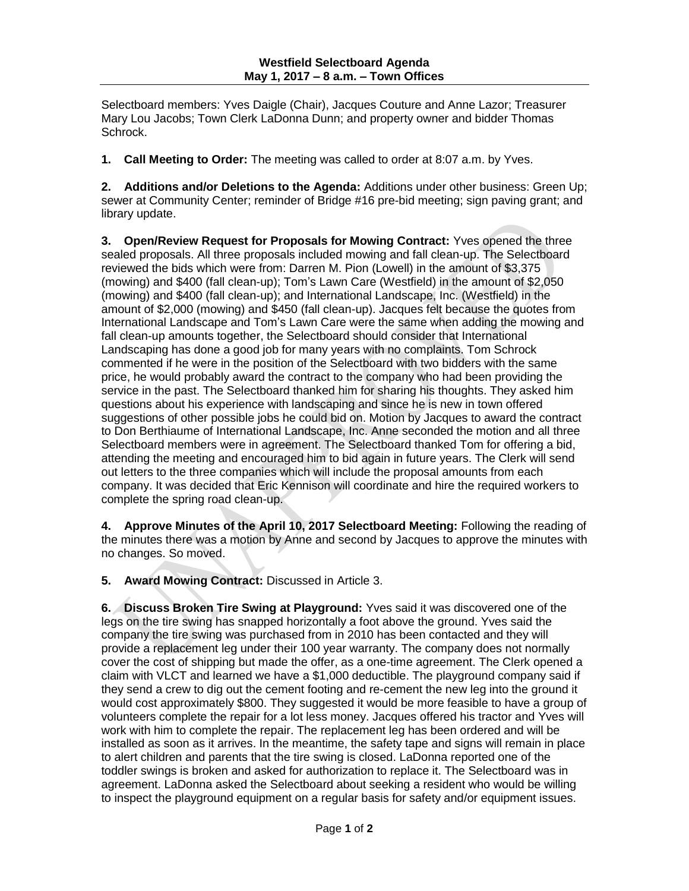Selectboard members: Yves Daigle (Chair), Jacques Couture and Anne Lazor; Treasurer Mary Lou Jacobs; Town Clerk LaDonna Dunn; and property owner and bidder Thomas Schrock.

**1. Call Meeting to Order:** The meeting was called to order at 8:07 a.m. by Yves.

**2. Additions and/or Deletions to the Agenda:** Additions under other business: Green Up; sewer at Community Center; reminder of Bridge #16 pre-bid meeting; sign paving grant; and library update.

**3. Open/Review Request for Proposals for Mowing Contract:** Yves opened the three sealed proposals. All three proposals included mowing and fall clean-up. The Selectboard reviewed the bids which were from: Darren M. Pion (Lowell) in the amount of \$3,375 (mowing) and \$400 (fall clean-up); Tom's Lawn Care (Westfield) in the amount of \$2,050 (mowing) and \$400 (fall clean-up); and International Landscape, Inc. (Westfield) in the amount of \$2,000 (mowing) and \$450 (fall clean-up). Jacques felt because the quotes from International Landscape and Tom's Lawn Care were the same when adding the mowing and fall clean-up amounts together, the Selectboard should consider that International Landscaping has done a good job for many years with no complaints. Tom Schrock commented if he were in the position of the Selectboard with two bidders with the same price, he would probably award the contract to the company who had been providing the service in the past. The Selectboard thanked him for sharing his thoughts. They asked him questions about his experience with landscaping and since he is new in town offered suggestions of other possible jobs he could bid on. Motion by Jacques to award the contract to Don Berthiaume of International Landscape, Inc. Anne seconded the motion and all three Selectboard members were in agreement. The Selectboard thanked Tom for offering a bid, attending the meeting and encouraged him to bid again in future years. The Clerk will send out letters to the three companies which will include the proposal amounts from each company. It was decided that Eric Kennison will coordinate and hire the required workers to complete the spring road clean-up.

**4. Approve Minutes of the April 10, 2017 Selectboard Meeting:** Following the reading of the minutes there was a motion by Anne and second by Jacques to approve the minutes with no changes. So moved.

**5. Award Mowing Contract:** Discussed in Article 3.

**6. Discuss Broken Tire Swing at Playground:** Yves said it was discovered one of the legs on the tire swing has snapped horizontally a foot above the ground. Yves said the company the tire swing was purchased from in 2010 has been contacted and they will provide a replacement leg under their 100 year warranty. The company does not normally cover the cost of shipping but made the offer, as a one-time agreement. The Clerk opened a claim with VLCT and learned we have a \$1,000 deductible. The playground company said if they send a crew to dig out the cement footing and re-cement the new leg into the ground it would cost approximately \$800. They suggested it would be more feasible to have a group of volunteers complete the repair for a lot less money. Jacques offered his tractor and Yves will work with him to complete the repair. The replacement leg has been ordered and will be installed as soon as it arrives. In the meantime, the safety tape and signs will remain in place to alert children and parents that the tire swing is closed. LaDonna reported one of the toddler swings is broken and asked for authorization to replace it. The Selectboard was in agreement. LaDonna asked the Selectboard about seeking a resident who would be willing to inspect the playground equipment on a regular basis for safety and/or equipment issues.